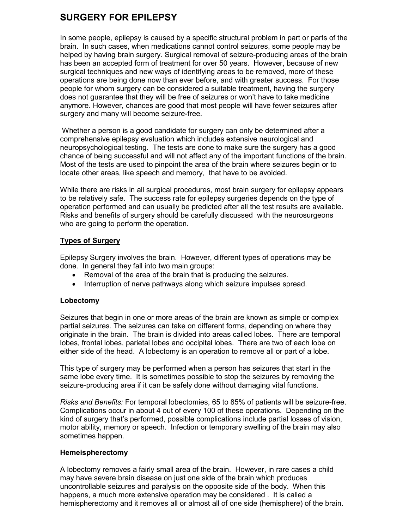# **SURGERY FOR EPILEPSY**

In some people, epilepsy is caused by a specific structural problem in part or parts of the brain. In such cases, when medications cannot control seizures, some people may be helped by having brain surgery. Surgical removal of seizure-producing areas of the brain has been an accepted form of treatment for over 50 years. However, because of new surgical techniques and new ways of identifying areas to be removed, more of these operations are being done now than ever before, and with greater success. For those people for whom surgery can be considered a suitable treatment, having the surgery does not guarantee that they will be free of seizures or won't have to take medicine anymore. However, chances are good that most people will have fewer seizures after surgery and many will become seizure-free.

Whether a person is a good candidate for surgery can only be determined after a comprehensive epilepsy evaluation which includes extensive neurological and neuropsychological testing. The tests are done to make sure the surgery has a good chance of being successful and will not affect any of the important functions of the brain. Most of the tests are used to pinpoint the area of the brain where seizures begin or to locate other areas, like speech and memory, that have to be avoided.

While there are risks in all surgical procedures, most brain surgery for epilepsy appears to be relatively safe. The success rate for epilepsy surgeries depends on the type of operation performed and can usually be predicted after all the test results are available. Risks and benefits of surgery should be carefully discussed with the neurosurgeons who are going to perform the operation.

## **Types of Surgery**

Epilepsy Surgery involves the brain. However, different types of operations may be done. In general they fall into two main groups:

- Removal of the area of the brain that is producing the seizures.
- Interruption of nerve pathways along which seizure impulses spread.

### **Lobectomy**

Seizures that begin in one or more areas of the brain are known as simple or complex partial seizures. The seizures can take on different forms, depending on where they originate in the brain. The brain is divided into areas called lobes. There are temporal lobes, frontal lobes, parietal lobes and occipital lobes. There are two of each lobe on either side of the head. A lobectomy is an operation to remove all or part of a lobe.

This type of surgery may be performed when a person has seizures that start in the same lobe every time. It is sometimes possible to stop the seizures by removing the seizure-producing area if it can be safely done without damaging vital functions.

*Risks and Benefits:* For temporal lobectomies, 65 to 85% of patients will be seizure-free. Complications occur in about 4 out of every 100 of these operations. Depending on the kind of surgery that's performed, possible complications include partial losses of vision, motor ability, memory or speech. Infection or temporary swelling of the brain may also sometimes happen.

### **Hemeispherectomy**

A lobectomy removes a fairly small area of the brain. However, in rare cases a child may have severe brain disease on just one side of the brain which produces uncontrollable seizures and paralysis on the opposite side of the body. When this happens, a much more extensive operation may be considered . It is called a hemispherectomy and it removes all or almost all of one side (hemisphere) of the brain.